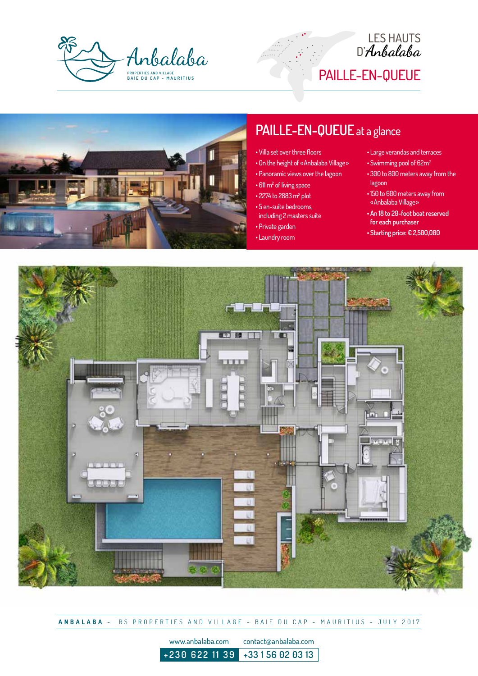





## **PAILLE-EN-QUEUE** at a glance

- Villa set over three floors
- On the height of «Anbalaba Village»
- Panoramic views over the lagoon
- 611 m<sup>2</sup> of living space
- $\cdot$  2274 to 2883 m<sup>2</sup> plot
- 5 en-suite bedrooms, including 2 masters suite
- Private garden
- Laundry room
- Large verandas and terraces
- Swimming pool of 62m2
- 300 to 800 meters away from the lagoon
- 150 to 600 meters away from «Anbalaba Village»
- **An 18 to 20-foot boat reserved for each purchaser**
- **Starting price: € 2,500,000**



**ANBALABA** - IRS PROPERTIES AND VILLAGE - BAIE DU CAP - MAURITIUS - JULY 2017

www.anbalaba.com contact@anbalaba.com **+230 622 11 39 +33 1 56 02 03 13**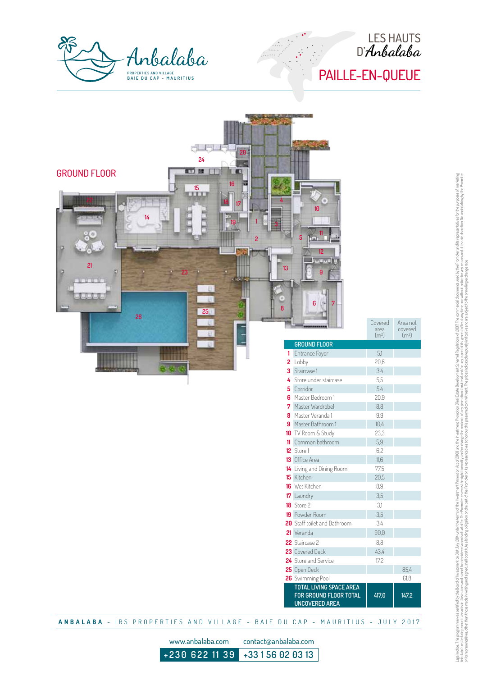



| 20 <sub>1</sub><br>24<br><b>图 7 牌</b><br><b>GROUND FLOOR</b><br>œ<br>16<br>$\frac{15}{2}$<br>14<br>5<br>$\overline{c}$<br>21<br>13<br><b>TOTAL</b><br>25<br>26<br>日 | 10<br>lаЛ<br>12<br><b>DOM NO</b><br>$\overline{9}$<br>$6\phantom{a}$<br>7<br>94 | Covered<br>area<br>$\left( m^{2}\right)$ | Area not<br>$10^{\circ}$ covered |
|---------------------------------------------------------------------------------------------------------------------------------------------------------------------|---------------------------------------------------------------------------------|------------------------------------------|----------------------------------|
|                                                                                                                                                                     | <b>GROUND FLOOR</b>                                                             |                                          |                                  |
|                                                                                                                                                                     | 1 Entrance Foyer                                                                | 5,1                                      |                                  |
| 2 Lobby                                                                                                                                                             |                                                                                 | 20,8                                     |                                  |
| 3 Staircase 1                                                                                                                                                       |                                                                                 | 3,4                                      |                                  |
|                                                                                                                                                                     | 4 Store under staircase                                                         | $5,5$                                    |                                  |
| <b>5</b> Corridor                                                                                                                                                   |                                                                                 | 5,4                                      |                                  |
|                                                                                                                                                                     | 6 Master Bedroom 1                                                              | 20,9                                     |                                  |
|                                                                                                                                                                     | 7 Master Wardrobe1                                                              | $8,8$                                    |                                  |
|                                                                                                                                                                     | 8 Master Veranda 1                                                              | $9, \! 9$                                |                                  |
|                                                                                                                                                                     | 9 Master Bathroom 1                                                             | 10,4                                     |                                  |
|                                                                                                                                                                     | 10 TV Room & Study                                                              | 23,3                                     |                                  |
|                                                                                                                                                                     | 11 Common bathroom                                                              | $5,9$                                    |                                  |
| 12 Store 1                                                                                                                                                          |                                                                                 |                                          |                                  |
|                                                                                                                                                                     |                                                                                 | 6,2                                      |                                  |
|                                                                                                                                                                     | <b>13</b> Office Area                                                           | $11,6$                                   |                                  |
|                                                                                                                                                                     | 14 Living and Dining Room                                                       | 77,5                                     |                                  |
| 15 Kitchen                                                                                                                                                          |                                                                                 | 20,5                                     |                                  |
| 16 Wet Kitchen                                                                                                                                                      |                                                                                 | $8,9$                                    |                                  |
| 17 Laundry                                                                                                                                                          |                                                                                 | 3,5                                      |                                  |
| 18 Store 2                                                                                                                                                          |                                                                                 | 3,1                                      |                                  |
| 19 Powder Room                                                                                                                                                      |                                                                                 | 3,5                                      |                                  |
|                                                                                                                                                                     | 20 Staff toilet and Bathroom                                                    | $3,4$                                    |                                  |
| 21 Veranda                                                                                                                                                          |                                                                                 | $90,\!0$                                 |                                  |
| 22 Staircase 2                                                                                                                                                      |                                                                                 | $8, \! 8$                                |                                  |
| 23 Covered Deck                                                                                                                                                     |                                                                                 | 43,4                                     |                                  |
|                                                                                                                                                                     | 24 Store and Service                                                            | 17,2                                     |                                  |
| 25 Open Deck                                                                                                                                                        |                                                                                 |                                          | 85,4                             |
|                                                                                                                                                                     | 26 Swimming Pool                                                                |                                          | 61,8                             |
|                                                                                                                                                                     | TOTAL LIVING SPACE AREA<br>FOR GROUND FLOOR TOTAL<br><b>UNCOVERED AREA</b>      | 417,0                                    | 147,2                            |

**ANBALABA** - IRS PROPERTIES AND VILLAGE - BAIE DU CAP - MAURITIUS - JULY 2017

www.anbalaba.com contact@anbalaba.com

**+230 622 11 39 +33 1 56 02 03 13**